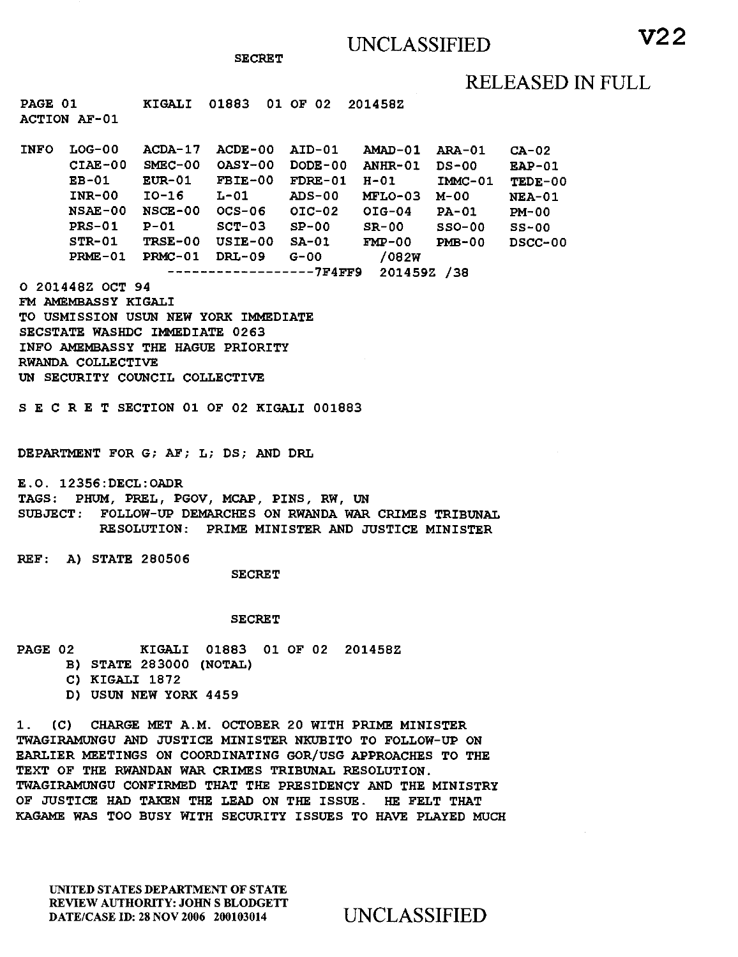## RELEASED IN FULL

**KIGALI 01883 01 OF 02 2014582 PAGE 01 ACTION AF-01** 

**ACDA-17 ACDE-00 AID-01 AMAD-01 ARA-01 CA-02 INFO LOG-00 SMEC-00 OASY-00 DODE-00 ANHR-01 DS-00 EAP-01 CIAE-00 EUR-01 FBIE-00 FDRE-01 H-01 IMMC-01 TEDE-00 10-16 L-01 ADS-00 MELO-03 M-00 NEA-01 NSCE-00 OCS-06 01C-02 01G-04 PA-01 PM-00 NSAE-00 P-01 SCT-03 SP-00 SR-00 SSO-00 SS-00 TRSE-00 USIE-00 SA-01 FMP-00 PMB-00 DSCC-00 PRMC-01 DRL-09 G-00 /082W PRME-01 7F4FF9 201459Z /38 EB-01 INR-00 PRS-01 STR-01** 

**O 201448Z OCT 94** 

**FM AMEMBASSY KIGALI TO USMISSION USUN NEW YORK IMMEDIATE SECSTATE WASHDC IMMEDIATE 0263 INFO AMEMBASSY THE HAGUE PRIORITY RWANDA COLLECTIVE UN SECURITY COUNCIL COLLECTIVE** 

**S E C R E T SECTION 01 OF 02 KIGALI 001883** 

**DEPARTMENT FOR G; AF; L; DS; AND DRL** 

**E.O. 12356:DECL:OADR TAGS: PHUM, PREL, PGOV, MCAP, PINS, RW, UN SUBJECT: FOLLOW-UP DEMARCHES ON RWANDA WAR CRIMES TRIBUNAL RESOLUTION: PRIME MINISTER AND JUSTICE MINISTER** 

**REF: A) STATE 280506** 

**SECRET** 

**SECRET** 

**PAGE 02 KIGALI 01883 01 OF 02 201458Z** 

- **B) STATE 283000 (NOTAL)**
- **C) KIGALI 1872**
- **D) USUN NEW YORK 4459**

**1. (C) CHARGE MET A.M. OCTOBER 20 WITH PRIME MINISTER TWAGIRAMUNGU AND JUSTICE MINISTER NKUBITO TO FOLLOW-UP ON EARLIER MEETINGS ON COORDINATING GOR/USG APPROACHES TO THE TEXT OF THE RWANDAN WAR CRIMES TRIBUNAL RESOLUTION. TWAGIRAMUNGU CONFIRMED THAT THE PRESIDENCY AND THE MINISTRY OF JUSTICE HAD TAKEN THE LEAD ON THE ISSUE. HE FELT THAT KAGAME WAS TOO BUSY WITH SECURITY ISSUES TO HAVE PLAYED MUCH** 

UNITED STATES DEPARTMENT OF STATE REVIEW AUTHORITY: JOHN S BLODGETT DATE/CASE ID: 28 NOV 2006 200103014 UNCLASSIFIED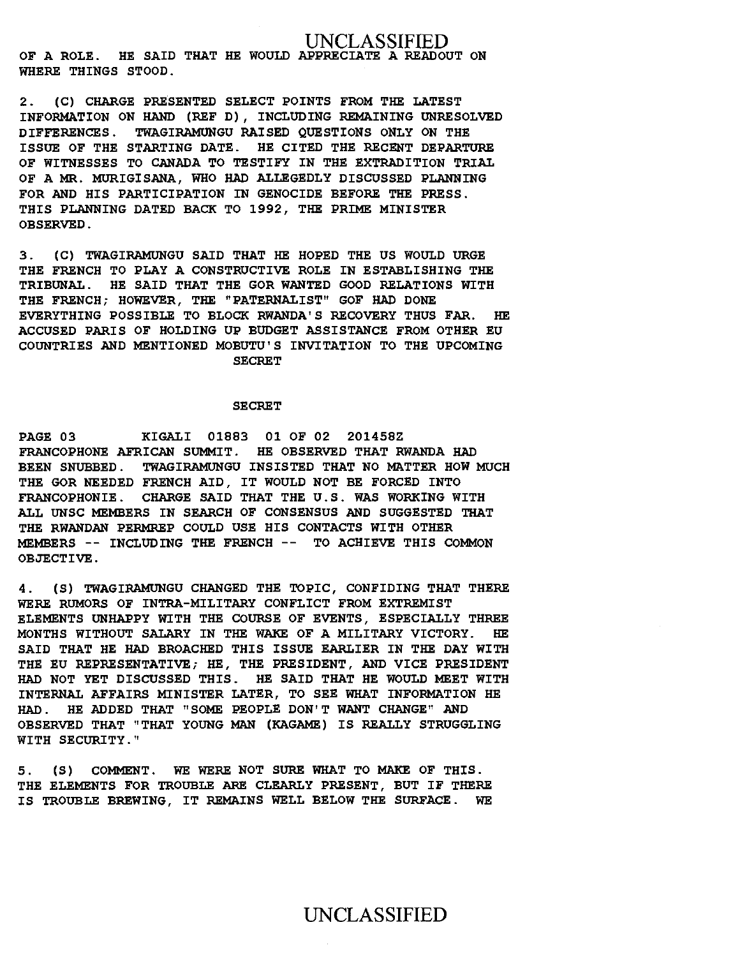### UNCLASSIFIED **OF A ROLE. HE SAID THAT HE WOULD APPRECIATE A READOUT ON WHERE THINGS STOOD.**

**2. (C) CHARGE PRESENTED SELECT POINTS FROM THE LATEST INFORMATION ON HAND (REF D), INCLUDING REMAINING UNRESOLVED DIFFERENCES. TWAGIRAMUNGU RAISED QUESTIONS ONLY ON THE ISSUE OF THE STARTING DATE. HE CITED THE RECENT DEPARTURE OF WITNESSES TO CANADA TO TESTIFY IN THE EXTRADITION TRIAL OF A MR. MURIGISANA, WHO HAD ALLEGEDLY DISCUSSED PLANNING FOR AND HIS PARTICIPATION IN GENOCIDE BEFORE THE PRESS. THIS PLANNING DATED BACK TO 1992, THE PRIME MINISTER OBSERVED.** 

**3. (C) TWAGIRAMUNGU SAID THAT HE HOPED THE US WOULD URGE THE FRENCH TO PLAY A CONSTRUCTIVE ROLE IN ESTABLISHING THE TRIBUNAL. HE SAID THAT THE GOR WANTED GOOD RELATIONS WITH THE FRENCH; HOWEVER, THE "PATERNALIST" GOF HAD DONE EVERYTHING POSSIBLE TO BLOCK RWANDA'S RECOVERY THUS FAR. HE ACCUSED PARIS OF HOLDING UP BUDGET ASSISTANCE FROM OTHER EU COUNTRIES AND MENTIONED MOBUTU'S INVITATION TO THE UPCOMING SECRET** 

#### **SECRET**

**PAGE 03 KIGALI 01883 01 OF 02 201458Z FRANCOPHONE AFRICAN SUMMIT. HE OBSERVED THAT RWANDA HAD BEEN SNUBBED. TWAGIRAMUNGU INSISTED THAT NO MATTER HOW MUCH THE GOR NEEDED FRENCH AID, IT WOULD NOT BE FORCED INTO FRANCOPHONIE. CHARGE SAID THAT THE U.S. WAS WORKING WITH ALL UNSC MEMBERS IN SEARCH OF CONSENSUS AND SUGGESTED THAT THE RWANDAN PERMREP COULD USE HIS CONTACTS WITH OTHER MEMBERS -- INCLUDING THE FRENCH -- TO ACHIEVE THIS COMMON OBJECTIVE.** 

**4. (S) TWAGIRAMUNGU CHANGED THE TOPIC, CONFIDING THAT THERE WERE RUMORS OF INTRA-MILITARY CONFLICT FROM EXTREMIST ELEMENTS UNHAPPY WITH THE COURSE OF EVENTS, ESPECIALLY THREE MONTHS WITHOUT SALARY IN THE WAKE OF A MILITARY VICTORY. HE SAID THAT HE HAD BROACHED THIS ISSUE EARLIER IN THE DAY WITH THE EU REPRESENTATIVE; HE, THE PRESIDENT, AND VICE PRESIDENT HAD NOT YET DISCUSSED THIS. HE SAID THAT HE WOULD MEET WITH INTERNAL AFFAIRS MINISTER LATER, TO SEE WHAT INFORMATION HE HAD. HE ADDED THAT "SOME PEOPLE DON'T WANT CHANGE" AND OBSERVED THAT "THAT YOUNG MAN (KAGAME) IS REALLY STRUGGLING WITH SECURITY."** 

**5. (S) COMMENT. WE WERE NOT SURE WHAT TO MAKE OF THIS. THE ELEMENTS FOR TROUBLE ARE CLEARLY PRESENT, BUT IF THERE IS TROUBLE BREWING, IT REMAINS WELL BELOW THE SURFACE. WE**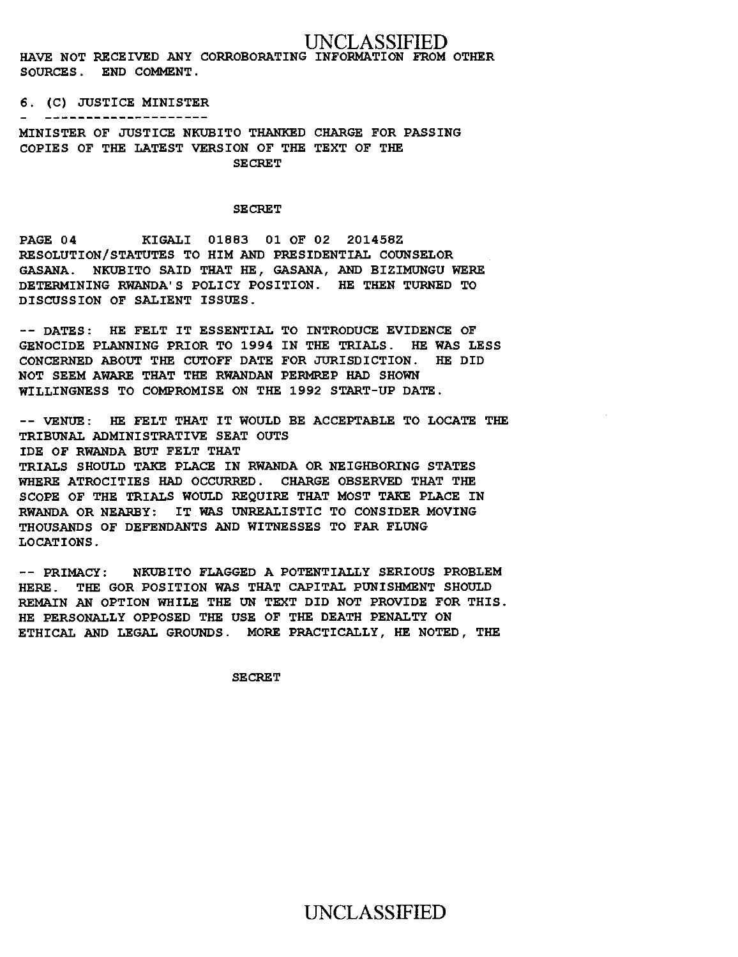UNCLASSIFIED

HAVE NOT RECEIVED ANY CORROBORATING INFORMATION FROM OTHER SOURCES. END COMMENT.

### 6. (C) JUSTICE MINISTER

#### ---------------------

MINISTER OF JUSTICE NKUBITO THANKED CHARGE FOR PASSING COPIES OF THE LATEST VERSION OF THE TEXT OF THE SECRET

### **SECRET**

PAGE 04 KIGALI 01883 01 OF 02 201458Z RESOLUTION/STATUTES TO HIM AND PRESIDENTIAL COUNSELOR GASANA. NKUBITO SAID THAT HE, GASANA, AND BIZIMUNGU WERE DETERMINING RWANDA'S POLICY POSITION. HE THEN TURNED TO DISCUSSION OF SALIENT ISSUES.

-- DATES: HE FELT IT ESSENTIAL TO INTRODUCE EVIDENCE OF GENOCIDE PLANNING PRIOR TO 1994 IN THE TRIALS. HE WAS LESS CONCERNED ABOUT THE CUTOFF DATE FOR JURISDICTION. HE DID NOT SEEM AWARE THAT THE RWANDAN PERNREP HAD SHOWN WILLINGNESS TO COMPROMISE ON THE 1992 START-UP DATE.

-- VENUE: HE FELT THAT IT WOULD BE ACCEPTABLE TO LOCATE THE TRIBUNAL ADMINISTRATIVE SEAT OUTS IDE OF RWANDA BUT FELT THAT TRIALS SHOULD TAKE PLACE IN RWANDA OR NEIGHBORING STATES WHERE ATROCITIES HAD OCCURRED. CHARGE OBSERVED THAT THE SCOPE OF THE TRIALS WOULD REQUIRE THAT MOST TAKE PLACE IN RWANDA OR NEARBY: IT WAS UNREALISTIC TO CONSIDER MOVING THOUSANDS OF DEFENDANTS AND WITNESSES TO FAR FLUNG LOCATIONS.

-- PRIMACY: NKUBITO FLAGGED A POTENTIALLY SERIOUS PROBLEM HERE. THE GOR POSITION WAS THAT CAPITAL PUNISHMENT SHOULD REMAIN AN OPTION WHILE THE UN TEXT DID NOT PROVIDE FOR THIS. HE PERSONALLY OPPOSED THE USE OF THE DEATH PENALTY ON ETHICAL AND LEGAL GROUNDS. MORE PRACTICALLY, HE NOTED, THE

**SECRET**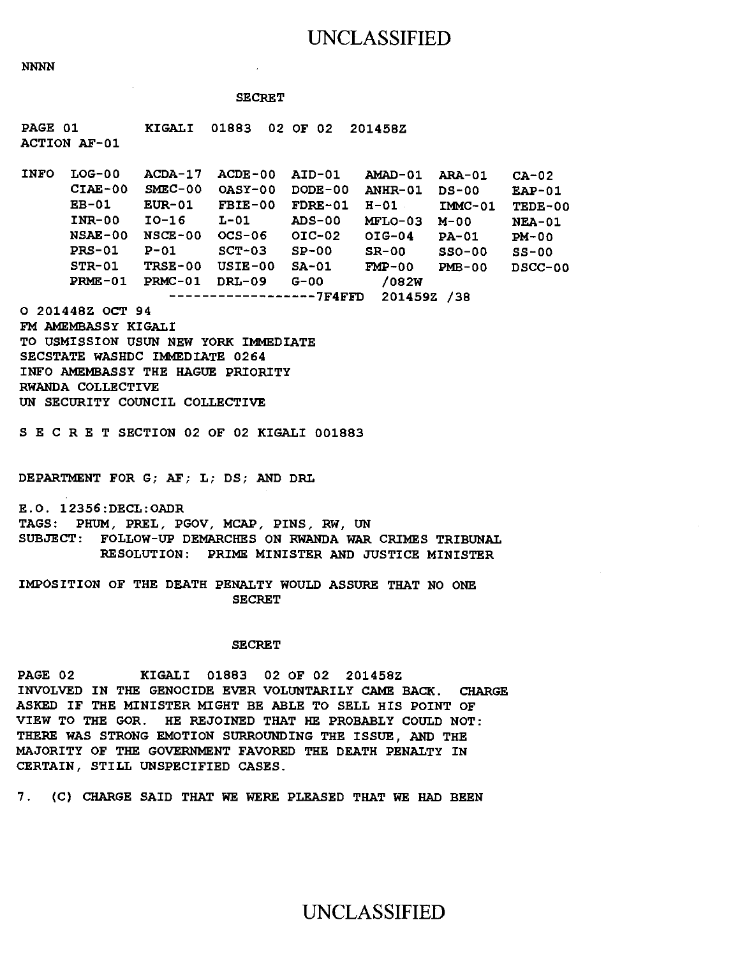### UNCLASSIFIED

**NNNN** 

### SECRET

PAGE 01 KIGALI 01883 02 OF 02 201458Z ACTION AF-01

INFO LOG-00 ACDA-17 ACDE-00 AID-01 AMAD-01 ARA-01 CA-02 CIAE-00 SMEC-00 OASY-00 DODE-00 ANHR-01 DS-00 EAP-01 EB-01 EUR-01 FBIE-00 FDRE-01 H-01 IMMC-01 TEDE-00 INR-00 10-16 L-01 ADS-00 MFLO-03 M-00 NEA-01 NSAE-00 NSCE-00 OCS-06 01C-02 01G-04 PA-01 PM-00 PRS-01 P-01 SCT-03 SP-00 SR-00 SSO-00 SS-00 STR-01 TRSE-00 USIE-00 SA-01 FMP-00 PMB-00 DSCC-00 PRME-01 PRMC-01 DRL-09 G-00 /082W

------------------7F4FFD 201459Z /38

O 201448Z OCT 94

FM AMEMBASSY KIGALI TO USMISSION USUN NEW YORK IMMEDIATE SECSTATE WASHDC IMMEDIATE 0264 INFO AMEMBASSY THE HAGUE PRIORITY RWANDA COLLECTIVE UN SECURITY COUNCIL COLLECTIVE

S E C R E T SECTION 02 OF 02 KIGALI 001883

DEPARTMENT FOR G; AF; L; DS; AND DRL

E.O. 12356:DECL:OADR TAGS: PHUM, PREL, PGOV, MCAP, PINS, RW, UN SUBJECT: FOLLOW-UP DEMARCHES ON RWANDA WAR CRIMES TRIBUNAL RESOLUTION: PRIME MINISTER AND JUSTICE MINISTER

IMPOSITION OF THE DEATH PENALTY WOULD ASSURE THAT NO ONE SECRET

#### SECRET

PAGE 02 KIGALI 01883 02 OF 02 201458Z INVOLVED IN THE GENOCIDE EVER VOLUNTARILY CAME BACK. CHARGE ASKED IF THE MINISTER MIGHT BE ABLE TO SELL HIS POINT OF VIEW TO THE GOR. HE REJOINED THAT HE PROBABLY COULD NOT: THERE WAS STRONG EMOTION SURROUNDING THE ISSUE, AND THE MAJORITY OF THE GOVERNMENT FAVORED THE DEATH PENALTY IN CERTAIN, STILL UNSPECIFIED CASES.

7. (C) CHARGE SAID THAT WE WERE PLEASED THAT WE HAD BEEN